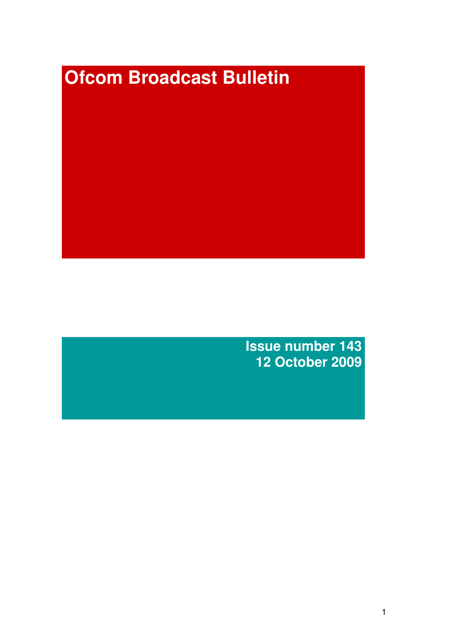# **Ofcom Broadcast Bulletin**

**Issue number 143 12 October 2009**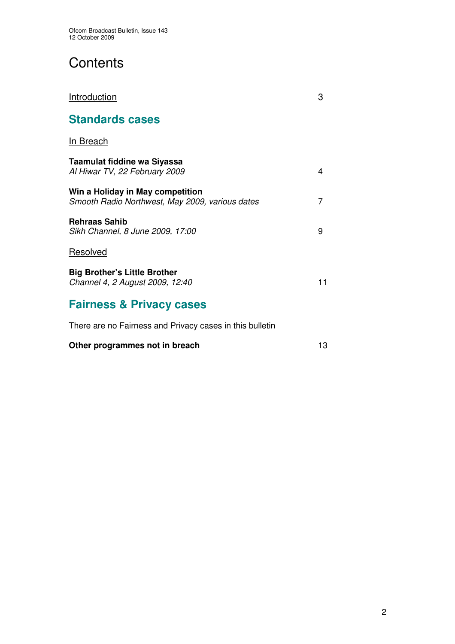# **Contents**

| Introduction                                                                        | З  |
|-------------------------------------------------------------------------------------|----|
| <b>Standards cases</b>                                                              |    |
| In Breach                                                                           |    |
| Taamulat fiddine wa Siyassa<br>Al Hiwar TV, 22 February 2009                        | 4  |
| Win a Holiday in May competition<br>Smooth Radio Northwest, May 2009, various dates | 7  |
| <b>Rehraas Sahib</b><br>Sikh Channel, 8 June 2009, 17:00                            | 9  |
| Resolved                                                                            |    |
| <b>Big Brother's Little Brother</b><br>Channel 4, 2 August 2009, 12:40              | 11 |
| <b>Fairness &amp; Privacy cases</b>                                                 |    |
| There are no Fairness and Privacy cases in this bulletin                            |    |

## **Other programmes not in breach** 13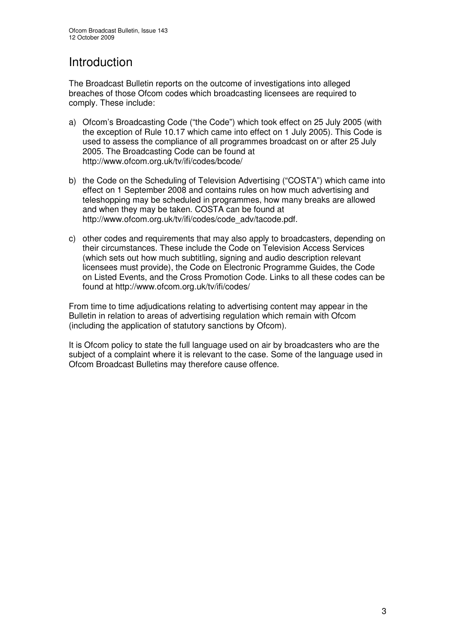# Introduction

The Broadcast Bulletin reports on the outcome of investigations into alleged breaches of those Ofcom codes which broadcasting licensees are required to comply. These include:

- a) Ofcom's Broadcasting Code ("the Code") which took effect on 25 July 2005 (with the exception of Rule 10.17 which came into effect on 1 July 2005). This Code is used to assess the compliance of all programmes broadcast on or after 25 July 2005. The Broadcasting Code can be found at http://www.ofcom.org.uk/tv/ifi/codes/bcode/
- b) the Code on the Scheduling of Television Advertising ("COSTA") which came into effect on 1 September 2008 and contains rules on how much advertising and teleshopping may be scheduled in programmes, how many breaks are allowed and when they may be taken. COSTA can be found at http://www.ofcom.org.uk/tv/ifi/codes/code\_adv/tacode.pdf.
- c) other codes and requirements that may also apply to broadcasters, depending on their circumstances. These include the Code on Television Access Services (which sets out how much subtitling, signing and audio description relevant licensees must provide), the Code on Electronic Programme Guides, the Code on Listed Events, and the Cross Promotion Code. Links to all these codes can be found at http://www.ofcom.org.uk/tv/ifi/codes/

From time to time adjudications relating to advertising content may appear in the Bulletin in relation to areas of advertising regulation which remain with Ofcom (including the application of statutory sanctions by Ofcom).

It is Ofcom policy to state the full language used on air by broadcasters who are the subject of a complaint where it is relevant to the case. Some of the language used in Ofcom Broadcast Bulletins may therefore cause offence.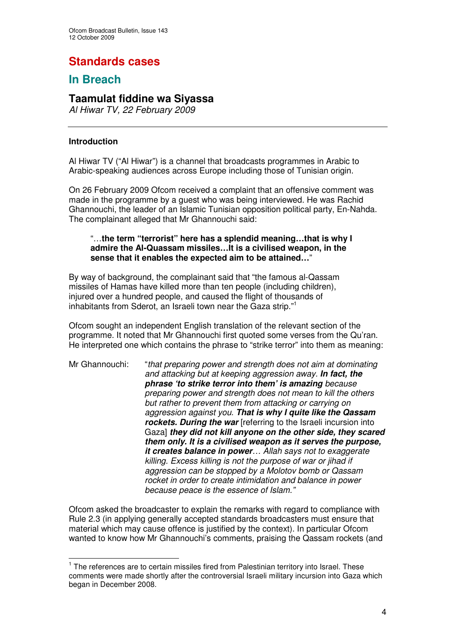# **Standards cases**

## **In Breach**

## **Taamulat fiddine wa Siyassa**

*Al Hiwar TV, 22 February 2009*

## **Introduction**

Al Hiwar TV ("Al Hiwar") is a channel that broadcasts programmes in Arabic to Arabic-speaking audiences across Europe including those of Tunisian origin.

On 26 February 2009 Ofcom received a complaint that an offensive comment was made in the programme by a guest who was being interviewed. He was Rachid Ghannouchi, the leader of an Islamic Tunisian opposition political party, En-Nahda. The complainant alleged that Mr Ghannouchi said:

#### "…**the term "terrorist" here has a splendid meaning…that is why I admire the Al-Quassam missiles…It is a civilised weapon, in the sense that it enables the expected aim to be attained…**"

By way of background, the complainant said that "the famous al-Qassam missiles of Hamas have killed more than ten people (including children), injured over a hundred people, and caused the flight of thousands of inhabitants from Sderot, an Israeli town near the Gaza strip." 1

Ofcom sought an independent English translation of the relevant section of the programme. It noted that Mr Ghannouchi first quoted some verses from the Qu'ran. He interpreted one which contains the phrase to "strike terror" into them as meaning:

Mr Ghannouchi: "*that preparing power and strength does not aim at dominating and attacking but at keeping aggression away. In fact, the phrase 'to strike terror into them' is amazing because preparing power and strength does not mean to kill the others but rather to prevent them from attacking or carrying on aggression against you. That is why I quite like the Qassam rockets. During the war* [referring to the Israeli incursion into Gaza] *they did not kill anyone on the other side, they scared them only. It is a civilised weapon as it serves the purpose, it creates balance in power… Allah says not to exaggerate killing. Excess killing is not the purpose of war or jihad if aggression can be stopped by a Molotov bomb or Qassam rocket in order to create intimidation and balance in power because peace is the essence of Islam."*

Ofcom asked the broadcaster to explain the remarks with regard to compliance with Rule 2.3 (in applying generally accepted standards broadcasters must ensure that material which may cause offence is justified by the context). In particular Ofcom wanted to know how Mr Ghannouchi's comments, praising the Qassam rockets (and

<sup>&</sup>lt;sup>1</sup> The references are to certain missiles fired from Palestinian territory into Israel. These comments were made shortly after the controversial Israeli military incursion into Gaza which began in December 2008.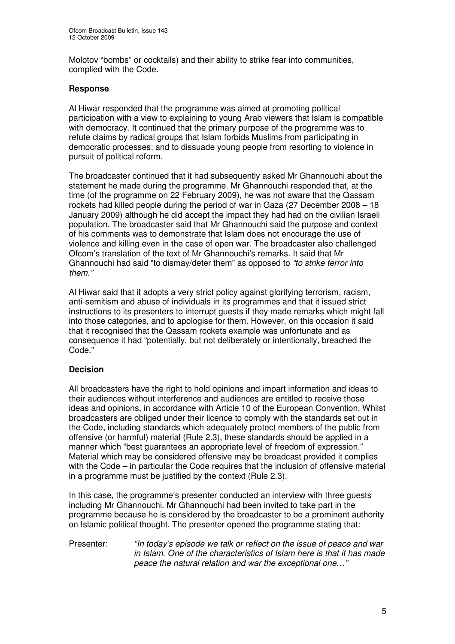Molotov "bombs" or cocktails) and their ability to strike fear into communities, complied with the Code.

## **Response**

Al Hiwar responded that the programme was aimed at promoting political participation with a view to explaining to young Arab viewers that Islam is compatible with democracy. It continued that the primary purpose of the programme was to refute claims by radical groups that Islam forbids Muslims from participating in democratic processes; and to dissuade young people from resorting to violence in pursuit of political reform.

The broadcaster continued that it had subsequently asked Mr Ghannouchi about the statement he made during the programme. Mr Ghannouchi responded that, at the time (of the programme on 22 February 2009), he was not aware that the Qassam rockets had killed people during the period of war in Gaza (27 December 2008 – 18 January 2009) although he did accept the impact they had had on the civilian Israeli population. The broadcaster said that Mr Ghannouchi said the purpose and context of his comments was to demonstrate that Islam does not encourage the use of violence and killing even in the case of open war. The broadcaster also challenged Ofcom's translation of the text of Mr Ghannouchi's remarks. It said that Mr Ghannouchi had said "to dismay/deter them" as opposed to *"to strike terror into them."*

Al Hiwar said that it adopts a very strict policy against glorifying terrorism, racism, anti-semitism and abuse of individuals in its programmes and that it issued strict instructions to its presenters to interrupt guests if they made remarks which might fall into those categories, and to apologise for them. However, on this occasion it said that it recognised that the Qassam rockets example was unfortunate and as consequence it had "potentially, but not deliberately or intentionally, breached the Code."

## **Decision**

All broadcasters have the right to hold opinions and impart information and ideas to their audiences without interference and audiences are entitled to receive those ideas and opinions, in accordance with Article 10 of the European Convention. Whilst broadcasters are obliged under their licence to comply with the standards set out in the Code, including standards which adequately protect members of the public from offensive (or harmful) material (Rule 2.3), these standards should be applied in a manner which "best guarantees an appropriate level of freedom of expression." Material which may be considered offensive may be broadcast provided it complies with the Code – in particular the Code requires that the inclusion of offensive material in a programme must be justified by the context (Rule 2.3).

In this case, the programme's presenter conducted an interview with three guests including Mr Ghannouchi. Mr Ghannouchi had been invited to take part in the programme because he is considered by the broadcaster to be a prominent authority on Islamic political thought. The presenter opened the programme stating that:

Presenter: *"In today's episode we talk or reflect on the issue of peace and war in Islam. One of the characteristics of Islam here is that it has made peace the natural relation and war the exceptional one…"*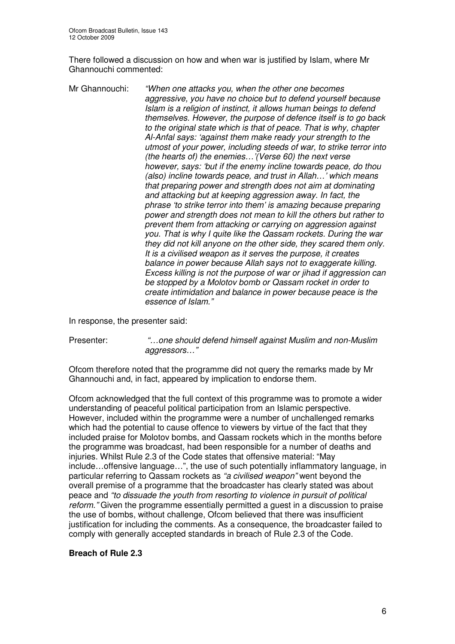There followed a discussion on how and when war is justified by Islam, where Mr Ghannouchi commented:

Mr Ghannouchi: *"When one attacks you, when the other one becomes aggressive, you have no choice but to defend yourself because Islam is a religion of instinct, it allows human beings to defend themselves. However, the purpose of defence itself is to go back to the original state which is that of peace. That is why, chapter Al-Anfal says: 'against them make ready your strength to the utmost of your power, including steeds of war, to strike terror into (the hearts of) the enemies…'(Verse 60) the next verse however, says: 'but if the enemy incline towards peace, do thou (also) incline towards peace, and trust in Allah…' which means that preparing power and strength does not aim at dominating and attacking but at keeping aggression away. In fact, the phrase 'to strike terror into them' is amazing because preparing power and strength does not mean to kill the others but rather to prevent them from attacking or carrying on aggression against you. That is why I quite like the Qassam rockets. During the war they did not kill anyone on the other side, they scared them only. It is a civilised weapon as it serves the purpose, it creates balance in power because Allah says not to exaggerate killing. Excess killing is not the purpose of war or jihad if aggression can be stopped by a Molotov bomb or Qassam rocket in order to create intimidation and balance in power because peace is the essence of Islam."*

In response, the presenter said:

Presenter: *"…one should defend himself against Muslim and non-Muslim aggressors…"*

Ofcom therefore noted that the programme did not query the remarks made by Mr Ghannouchi and, in fact, appeared by implication to endorse them.

Ofcom acknowledged that the full context of this programme was to promote a wider understanding of peaceful political participation from an Islamic perspective. However, included within the programme were a number of unchallenged remarks which had the potential to cause offence to viewers by virtue of the fact that they included praise for Molotov bombs, and Qassam rockets which in the months before the programme was broadcast, had been responsible for a number of deaths and injuries. Whilst Rule 2.3 of the Code states that offensive material: "May include…offensive language…", the use of such potentially inflammatory language, in particular referring to Qassam rockets as *"a civilised weapon"* went beyond the overall premise of a programme that the broadcaster has clearly stated was about peace and *"to dissuade the youth from resorting to violence in pursuit of political reform."* Given the programme essentially permitted a guest in a discussion to praise the use of bombs, without challenge, Ofcom believed that there was insufficient justification for including the comments. As a consequence, the broadcaster failed to comply with generally accepted standards in breach of Rule 2.3 of the Code.

## **Breach of Rule 2.3**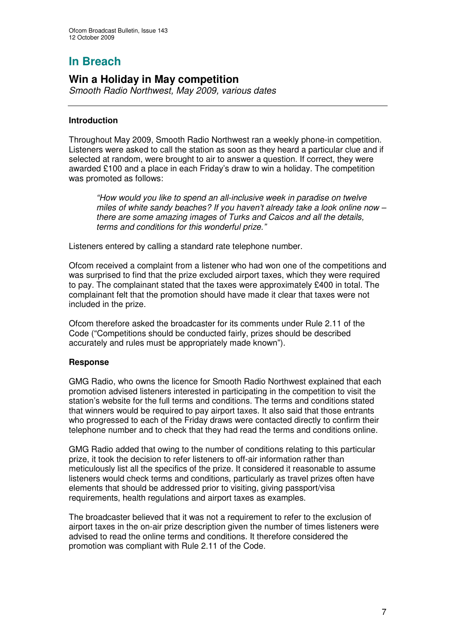# **In Breach**

## **Win a Holiday in May competition**

*Smooth Radio Northwest, May 2009, various dates*

## **Introduction**

Throughout May 2009, Smooth Radio Northwest ran a weekly phone-in competition. Listeners were asked to call the station as soon as they heard a particular clue and if selected at random, were brought to air to answer a question. If correct, they were awarded £100 and a place in each Friday's draw to win a holiday. The competition was promoted as follows:

*"How would you like to spend an all-inclusive week in paradise on twelve miles of white sandy beaches? If you haven't already take a look online now – there are some amazing images of Turks and Caicos and all the details, terms and conditions for this wonderful prize."*

Listeners entered by calling a standard rate telephone number.

Ofcom received a complaint from a listener who had won one of the competitions and was surprised to find that the prize excluded airport taxes, which they were required to pay. The complainant stated that the taxes were approximately £400 in total. The complainant felt that the promotion should have made it clear that taxes were not included in the prize.

Ofcom therefore asked the broadcaster for its comments under Rule 2.11 of the Code ("Competitions should be conducted fairly, prizes should be described accurately and rules must be appropriately made known").

## **Response**

GMG Radio, who owns the licence for Smooth Radio Northwest explained that each promotion advised listeners interested in participating in the competition to visit the station's website for the full terms and conditions. The terms and conditions stated that winners would be required to pay airport taxes. It also said that those entrants who progressed to each of the Friday draws were contacted directly to confirm their telephone number and to check that they had read the terms and conditions online.

GMG Radio added that owing to the number of conditions relating to this particular prize, it took the decision to refer listeners to off-air information rather than meticulously list all the specifics of the prize. It considered it reasonable to assume listeners would check terms and conditions, particularly as travel prizes often have elements that should be addressed prior to visiting, giving passport/visa requirements, health regulations and airport taxes as examples.

The broadcaster believed that it was not a requirement to refer to the exclusion of airport taxes in the on-air prize description given the number of times listeners were advised to read the online terms and conditions. It therefore considered the promotion was compliant with Rule 2.11 of the Code.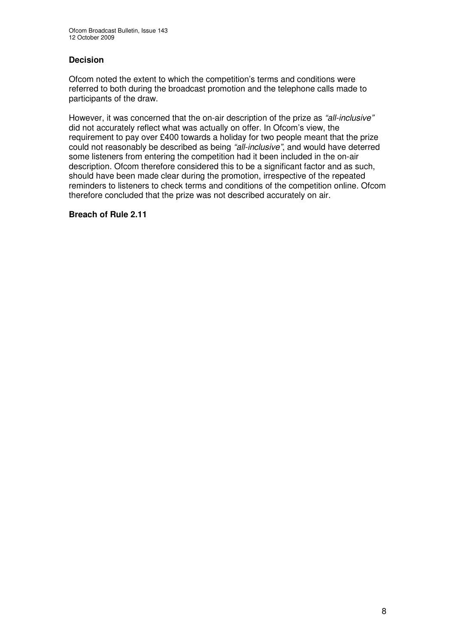## **Decision**

Ofcom noted the extent to which the competition's terms and conditions were referred to both during the broadcast promotion and the telephone calls made to participants of the draw.

However, it was concerned that the on-air description of the prize as *"all-inclusive"* did not accurately reflect what was actually on offer. In Ofcom's view, the requirement to pay over £400 towards a holiday for two people meant that the prize could not reasonably be described as being *"all-inclusive"*, and would have deterred some listeners from entering the competition had it been included in the on-air description. Ofcom therefore considered this to be a significant factor and as such, should have been made clear during the promotion, irrespective of the repeated reminders to listeners to check terms and conditions of the competition online. Ofcom therefore concluded that the prize was not described accurately on air.

#### **Breach of Rule 2.11**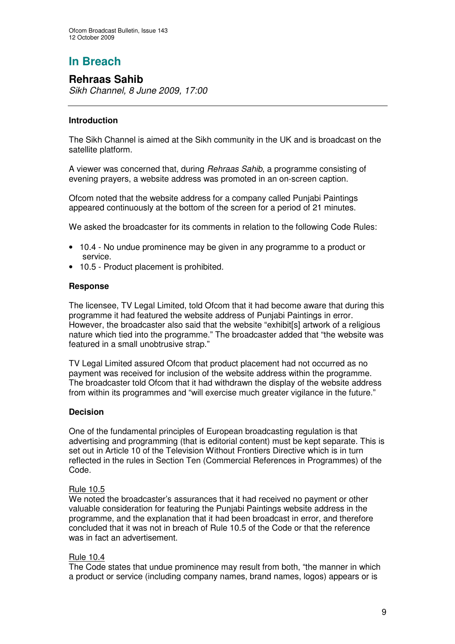# **In Breach**

## **Rehraas Sahib**

*Sikh Channel, 8 June 2009, 17:00*

## **Introduction**

The Sikh Channel is aimed at the Sikh community in the UK and is broadcast on the satellite platform.

A viewer was concerned that, during *Rehraas Sahib*, a programme consisting of evening prayers, a website address was promoted in an on-screen caption.

Ofcom noted that the website address for a company called Punjabi Paintings appeared continuously at the bottom of the screen for a period of 21 minutes.

We asked the broadcaster for its comments in relation to the following Code Rules:

- 10.4 No undue prominence may be given in any programme to a product or service.
- 10.5 Product placement is prohibited.

## **Response**

The licensee, TV Legal Limited, told Ofcom that it had become aware that during this programme it had featured the website address of Punjabi Paintings in error. However, the broadcaster also said that the website "exhibit[s] artwork of a religious nature which tied into the programme." The broadcaster added that "the website was featured in a small unobtrusive strap."

TV Legal Limited assured Ofcom that product placement had not occurred as no payment was received for inclusion of the website address within the programme. The broadcaster told Ofcom that it had withdrawn the display of the website address from within its programmes and "will exercise much greater vigilance in the future."

## **Decision**

One of the fundamental principles of European broadcasting regulation is that advertising and programming (that is editorial content) must be kept separate. This is set out in Article 10 of the Television Without Frontiers Directive which is in turn reflected in the rules in Section Ten (Commercial References in Programmes) of the Code.

## Rule 10.5

We noted the broadcaster's assurances that it had received no payment or other valuable consideration for featuring the Punjabi Paintings website address in the programme, and the explanation that it had been broadcast in error, and therefore concluded that it was not in breach of Rule 10.5 of the Code or that the reference was in fact an advertisement.

## Rule 10.4

The Code states that undue prominence may result from both, "the manner in which a product or service (including company names, brand names, logos) appears or is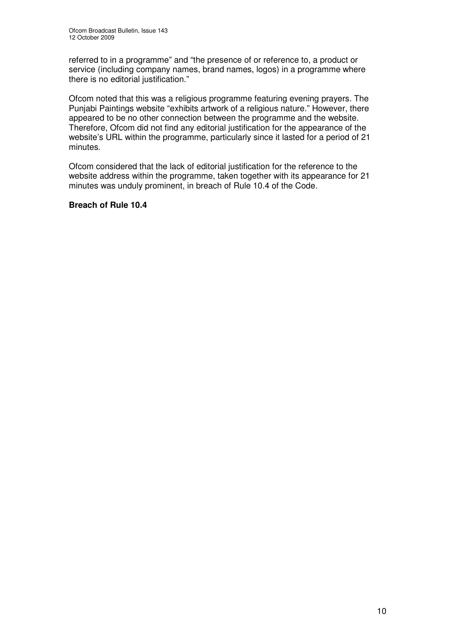referred to in a programme" and "the presence of or reference to, a product or service (including company names, brand names, logos) in a programme where there is no editorial justification."

Ofcom noted that this was a religious programme featuring evening prayers. The Punjabi Paintings website "exhibits artwork of a religious nature." However, there appeared to be no other connection between the programme and the website. Therefore, Ofcom did not find any editorial justification for the appearance of the website's URL within the programme, particularly since it lasted for a period of 21 minutes.

Ofcom considered that the lack of editorial justification for the reference to the website address within the programme, taken together with its appearance for 21 minutes was unduly prominent, in breach of Rule 10.4 of the Code.

#### **Breach of Rule 10.4**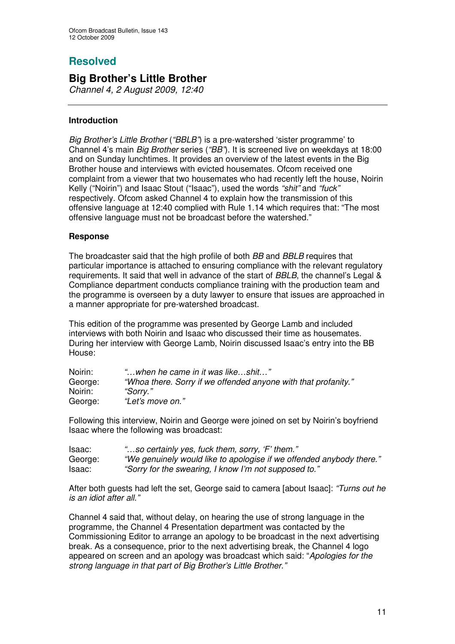## **Resolved**

## **Big Brother's Little Brother**

*Channel 4, 2 August 2009, 12:40*

## **Introduction**

*Big Brother's Little Brother* (*"BBLB"*) is a pre-watershed 'sister programme' to Channel 4's main *Big Brother* series (*"BB"*). It is screened live on weekdays at 18:00 and on Sunday lunchtimes. It provides an overview of the latest events in the Big Brother house and interviews with evicted housemates. Ofcom received one complaint from a viewer that two housemates who had recently left the house, Noirin Kelly ("Noirin") and Isaac Stout ("Isaac"), used the words *"shit"* and *"fuck"* respectively. Ofcom asked Channel 4 to explain how the transmission of this offensive language at 12:40 complied with Rule 1.14 which requires that: "The most offensive language must not be broadcast before the watershed."

## **Response**

The broadcaster said that the high profile of both *BB* and *BBLB* requires that particular importance is attached to ensuring compliance with the relevant regulatory requirements. It said that well in advance of the start of *BBLB*, the channel's Legal & Compliance department conducts compliance training with the production team and the programme is overseen by a duty lawyer to ensure that issues are approached in a manner appropriate for pre-watershed broadcast.

This edition of the programme was presented by George Lamb and included interviews with both Noirin and Isaac who discussed their time as housemates. During her interview with George Lamb, Noirin discussed Isaac's entry into the BB House:

| Noirin: | "when he came in it was likeshit"                              |
|---------|----------------------------------------------------------------|
| George: | "Whoa there. Sorry if we offended anyone with that profanity." |
| Noirin: | "Sorrv."                                                       |
| George: | "Let's move on."                                               |

Following this interview, Noirin and George were joined on set by Noirin's boyfriend Isaac where the following was broadcast:

| Isaac:  | "so certainly yes, fuck them, sorry, 'F' them."                      |
|---------|----------------------------------------------------------------------|
| George: | "We genuinely would like to apologise if we offended anybody there." |
| Isaac:  | "Sorry for the swearing, I know I'm not supposed to."                |

After both guests had left the set, George said to camera [about Isaac]: *"Turns out he is an idiot after all."*

Channel 4 said that, without delay, on hearing the use of strong language in the programme, the Channel 4 Presentation department was contacted by the Commissioning Editor to arrange an apology to be broadcast in the next advertising break. As a consequence, prior to the next advertising break, the Channel 4 logo appeared on screen and an apology was broadcast which said: "*Apologies for the strong language in that part of Big Brother's Little Brother."*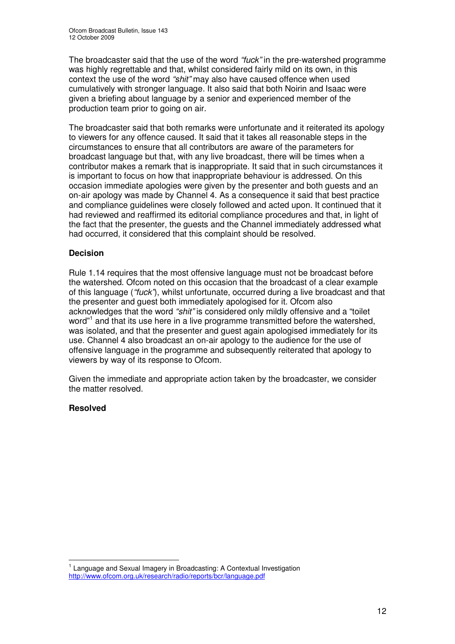The broadcaster said that the use of the word *"fuck"* in the pre-watershed programme was highly regrettable and that, whilst considered fairly mild on its own, in this context the use of the word *"shit"* may also have caused offence when used cumulatively with stronger language. It also said that both Noirin and Isaac were given a briefing about language by a senior and experienced member of the production team prior to going on air.

The broadcaster said that both remarks were unfortunate and it reiterated its apology to viewers for any offence caused. It said that it takes all reasonable steps in the circumstances to ensure that all contributors are aware of the parameters for broadcast language but that, with any live broadcast, there will be times when a contributor makes a remark that is inappropriate. It said that in such circumstances it is important to focus on how that inappropriate behaviour is addressed. On this occasion immediate apologies were given by the presenter and both guests and an on-air apology was made by Channel 4. As a consequence it said that best practice and compliance guidelines were closely followed and acted upon. It continued that it had reviewed and reaffirmed its editorial compliance procedures and that, in light of the fact that the presenter, the guests and the Channel immediately addressed what had occurred, it considered that this complaint should be resolved.

## **Decision**

Rule 1.14 requires that the most offensive language must not be broadcast before the watershed. Ofcom noted on this occasion that the broadcast of a clear example of this language (*"fuck"*), whilst unfortunate, occurred during a live broadcast and that the presenter and guest both immediately apologised for it. Ofcom also acknowledges that the word *"shit"* is considered only mildly offensive and a "toilet word"<sup>1</sup> and that its use here in a live programme transmitted before the watershed, was isolated, and that the presenter and guest again apologised immediately for its use. Channel 4 also broadcast an on-air apology to the audience for the use of offensive language in the programme and subsequently reiterated that apology to viewers by way of its response to Ofcom.

Given the immediate and appropriate action taken by the broadcaster, we consider the matter resolved.

## **Resolved**

<sup>&</sup>lt;sup>1</sup> Language and Sexual Imagery in Broadcasting: A Contextual Investigation http://www.ofcom.org.uk/research/radio/reports/bcr/language.pdf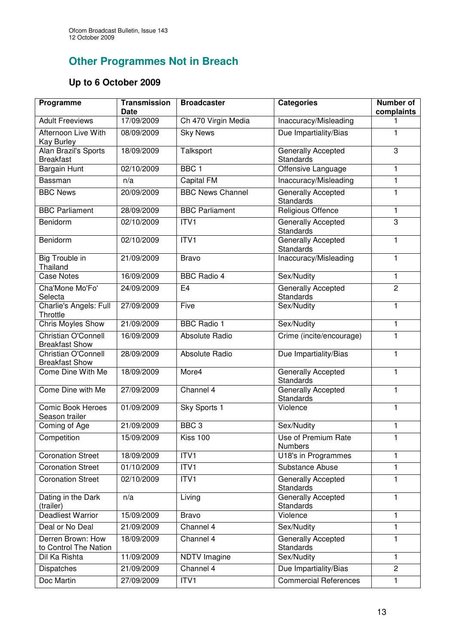# **Other Programmes Not in Breach**

# **Up to 6 October 2009**

| Programme                                    | <b>Transmission</b><br><b>Date</b> | <b>Broadcaster</b>      | <b>Categories</b>                      | <b>Number of</b><br>complaints |
|----------------------------------------------|------------------------------------|-------------------------|----------------------------------------|--------------------------------|
| <b>Adult Freeviews</b>                       | 17/09/2009                         | Ch 470 Virgin Media     | Inaccuracy/Misleading                  |                                |
| Afternoon Live With<br>Kay Burley            | 08/09/2009                         | <b>Sky News</b>         | Due Impartiality/Bias                  | 1                              |
| Alan Brazil's Sports<br><b>Breakfast</b>     | 18/09/2009                         | Talksport               | Generally Accepted<br>Standards        | 3                              |
| Bargain Hunt                                 | 02/10/2009                         | BBC <sub>1</sub>        | Offensive Language                     | 1                              |
| Bassman                                      | n/a                                | Capital FM              | Inaccuracy/Misleading                  | $\mathbf{1}$                   |
| <b>BBC News</b>                              | 20/09/2009                         | <b>BBC</b> News Channel | Generally Accepted<br>Standards        | 1                              |
| <b>BBC Parliament</b>                        | 28/09/2009                         | <b>BBC Parliament</b>   | Religious Offence                      | 1                              |
| Benidorm                                     | 02/10/2009                         | ITV1                    | Generally Accepted<br>Standards        | 3                              |
| Benidorm                                     | 02/10/2009                         | ITVI                    | Generally Accepted<br><b>Standards</b> | 1                              |
| Big Trouble in<br>Thailand                   | 21/09/2009                         | <b>Bravo</b>            | Inaccuracy/Misleading                  | 1                              |
| <b>Case Notes</b>                            | 16/09/2009                         | <b>BBC Radio 4</b>      | Sex/Nudity                             | 1                              |
| Cha'Mone Mo'Fo'<br>Selecta                   | 24/09/2009                         | E <sub>4</sub>          | <b>Generally Accepted</b><br>Standards | $\overline{2}$                 |
| Charlie's Angels: Full<br>Throttle           | 27/09/2009                         | Five                    | Sex/Nudity                             | 1                              |
| <b>Chris Moyles Show</b>                     | 21/09/2009                         | <b>BBC Radio 1</b>      | Sex/Nudity                             | $\mathbf{1}$                   |
| Christian O'Connell<br><b>Breakfast Show</b> | 16/09/2009                         | Absolute Radio          | Crime (incite/encourage)               | 1                              |
| Christian O'Connell<br><b>Breakfast Show</b> | 28/09/2009                         | Absolute Radio          | Due Impartiality/Bias                  | 1                              |
| Come Dine With Me                            | 18/09/2009                         | More4                   | Generally Accepted<br>Standards        | 1                              |
| Come Dine with Me                            | 27/09/2009                         | Channel 4               | Generally Accepted<br>Standards        | 1                              |
| <b>Comic Book Heroes</b><br>Season trailer   | 01/09/2009                         | Sky Sports 1            | Violence                               | 1                              |
| Coming of Age                                | 21/09/2009                         | BBC <sub>3</sub>        | Sex/Nudity                             | 1                              |
| Competition                                  | 15/09/2009                         | Kiss 100                | Use of Premium Rate<br><b>Numbers</b>  |                                |
| <b>Coronation Street</b>                     | 18/09/2009                         | ITV1                    | U18's in Programmes                    | 1                              |
| <b>Coronation Street</b>                     | 01/10/2009                         | ITVI                    | Substance Abuse                        | 1                              |
| <b>Coronation Street</b>                     | 02/10/2009                         | $\overline{IV}1$        | Generally Accepted<br><b>Standards</b> | 1                              |
| Dating in the Dark<br>(trailer)              | n/a                                | Living                  | Generally Accepted<br>Standards        | 1                              |
| <b>Deadliest Warrior</b>                     | 15/09/2009                         | <b>Bravo</b>            | Violence                               | 1                              |
| Deal or No Deal                              | 21/09/2009                         | Channel 4               | Sex/Nudity                             | 1                              |
| Derren Brown: How<br>to Control The Nation   | 18/09/2009                         | Channel 4               | Generally Accepted<br><b>Standards</b> | 1                              |
| Dil Ka Rishta                                | 11/09/2009                         | <b>NDTV Imagine</b>     | Sex/Nudity                             | 1                              |
| Dispatches                                   | 21/09/2009                         | Channel 4               | Due Impartiality/Bias                  | $\overline{2}$                 |
| Doc Martin                                   | 27/09/2009                         | ITVI                    | <b>Commercial References</b>           | 1                              |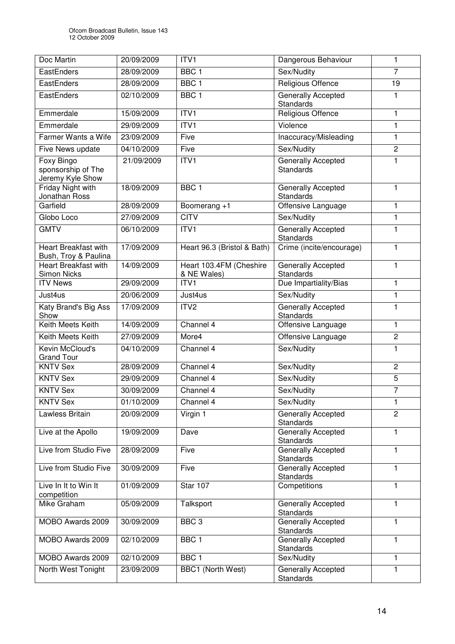| Doc Martin                                           | 20/09/2009 | ITV1                                   | Dangerous Behaviour                           | 1              |
|------------------------------------------------------|------------|----------------------------------------|-----------------------------------------------|----------------|
| EastEnders                                           | 28/09/2009 | BBC <sub>1</sub>                       | Sex/Nudity                                    | $\overline{7}$ |
| EastEnders                                           | 28/09/2009 | BBC <sub>1</sub>                       | Religious Offence                             | 19             |
| EastEnders                                           | 02/10/2009 | BBC <sub>1</sub>                       | <b>Generally Accepted</b><br><b>Standards</b> |                |
| Emmerdale                                            | 15/09/2009 | ITV1                                   | Religious Offence                             | $\mathbf{1}$   |
| Emmerdale                                            | 29/09/2009 | ITVI                                   | Violence                                      | $\mathbf{1}$   |
| Farmer Wants a Wife                                  | 23/09/2009 | Five                                   | Inaccuracy/Misleading                         | 1              |
| Five News update                                     | 04/10/2009 | Five                                   | Sex/Nudity                                    | $\overline{c}$ |
| Foxy Bingo<br>sponsorship of The<br>Jeremy Kyle Show | 21/09/2009 | ITVI                                   | Generally Accepted<br><b>Standards</b>        | 1              |
| Friday Night with<br>Jonathan Ross                   | 18/09/2009 | BBC <sub>1</sub>                       | Generally Accepted<br><b>Standards</b>        | 1              |
| Garfield                                             | 28/09/2009 | Boomerang +1                           | Offensive Language                            | 1              |
| Globo Loco                                           | 27/09/2009 | <b>CITV</b>                            | Sex/Nudity                                    | $\mathbf{1}$   |
| <b>GMTV</b>                                          | 06/10/2009 | ITV1                                   | Generally Accepted<br><b>Standards</b>        | 1              |
| <b>Heart Breakfast with</b><br>Bush, Troy & Paulina  | 17/09/2009 | Heart 96.3 (Bristol & Bath)            | Crime (incite/encourage)                      | 1              |
| Heart Breakfast with<br>Simon Nicks                  | 14/09/2009 | Heart 103.4FM (Cheshire<br>& NE Wales) | Generally Accepted<br><b>Standards</b>        | 1              |
| <b>ITV News</b>                                      | 29/09/2009 | ITV1                                   | Due Impartiality/Bias                         | $\mathbf{1}$   |
| Just4us                                              | 20/06/2009 | Just4us                                | Sex/Nudity                                    | $\mathbf{1}$   |
| Katy Brand's Big Ass<br>Show                         | 17/09/2009 | ITV <sub>2</sub>                       | <b>Generally Accepted</b><br><b>Standards</b> | 1              |
| Keith Meets Keith                                    | 14/09/2009 | Channel 4                              | Offensive Language                            | 1              |
| Keith Meets Keith                                    | 27/09/2009 | More4                                  | Offensive Language                            | $\overline{c}$ |
| Kevin McCloud's<br><b>Grand Tour</b>                 | 04/10/2009 | Channel 4                              | Sex/Nudity                                    | 1              |
| <b>KNTV Sex</b>                                      | 28/09/2009 | Channel 4                              | Sex/Nudity                                    | $\overline{c}$ |
| <b>KNTV Sex</b>                                      | 29/09/2009 | Channel 4                              | Sex/Nudity                                    | 5              |
| <b>KNTV Sex</b>                                      | 30/09/2009 | Channel 4                              | Sex/Nudity                                    | $\overline{7}$ |
| <b>KNTV Sex</b>                                      | 01/10/2009 | Channel 4                              | Sex/Nudity                                    | 1              |
| Lawless Britain                                      | 20/09/2009 | Virgin 1                               | Generally Accepted<br><b>Standards</b>        | 2              |
| Live at the Apollo                                   | 19/09/2009 | Dave                                   | <b>Generally Accepted</b><br><b>Standards</b> | 1              |
| Live from Studio Five                                | 28/09/2009 | Five                                   | Generally Accepted<br><b>Standards</b>        | 1              |
| Live from Studio Five                                | 30/09/2009 | Five                                   | Generally Accepted<br><b>Standards</b>        | 1              |
| Live In It to Win It<br>competition                  | 01/09/2009 | Star 107                               | Competitions                                  | 1              |
| Mike Graham                                          | 05/09/2009 | Talksport                              | Generally Accepted<br>Standards               | 1              |
| MOBO Awards 2009                                     | 30/09/2009 | BBC <sub>3</sub>                       | Generally Accepted<br>Standards               | 1              |
| MOBO Awards 2009                                     | 02/10/2009 | BBC <sub>1</sub>                       | Generally Accepted<br>Standards               | 1              |
| MOBO Awards 2009                                     | 02/10/2009 | BBC <sub>1</sub>                       | Sex/Nudity                                    | $\mathbf{1}$   |
| North West Tonight                                   | 23/09/2009 | BBC1 (North West)                      | Generally Accepted<br>Standards               | 1              |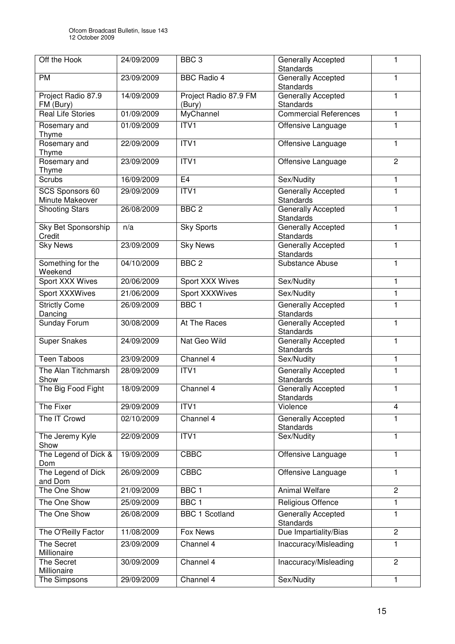| Off the Hook                         | 24/09/2009 | BBC <sub>3</sub>                | Generally Accepted<br><b>Standards</b>        | 1                       |
|--------------------------------------|------------|---------------------------------|-----------------------------------------------|-------------------------|
| <b>PM</b>                            | 23/09/2009 | <b>BBC Radio 4</b>              | Generally Accepted<br>Standards               | 1                       |
| Project Radio 87.9<br>FM (Bury)      | 14/09/2009 | Project Radio 87.9 FM<br>(Bury) | <b>Generally Accepted</b><br><b>Standards</b> | 1                       |
| <b>Real Life Stories</b>             | 01/09/2009 | MyChannel                       | <b>Commercial References</b>                  | 1                       |
| Rosemary and<br>Thyme                | 01/09/2009 | ITVI                            | Offensive Language                            | 1                       |
| Rosemary and<br>Thyme                | 22/09/2009 | ITVI                            | Offensive Language                            | 1                       |
| Rosemary and<br>Thyme                | 23/09/2009 | ITV1                            | Offensive Language                            | $\overline{2}$          |
| Scrubs                               | 16/09/2009 | E <sub>4</sub>                  | Sex/Nudity                                    | 1                       |
| SCS Sponsors 60<br>Minute Makeover   | 29/09/2009 | ITVI                            | <b>Generally Accepted</b><br>Standards        | 1                       |
| <b>Shooting Stars</b>                | 26/08/2009 | BBC <sub>2</sub>                | <b>Generally Accepted</b><br><b>Standards</b> | 1                       |
| <b>Sky Bet Sponsorship</b><br>Credit | n/a        | <b>Sky Sports</b>               | <b>Generally Accepted</b><br>Standards        | 1                       |
| <b>Sky News</b>                      | 23/09/2009 | <b>Sky News</b>                 | Generally Accepted<br>Standards               | 1                       |
| Something for the<br>Weekend         | 04/10/2009 | BBC <sub>2</sub>                | Substance Abuse                               | 1                       |
| Sport XXX Wives                      | 20/06/2009 | Sport XXX Wives                 | Sex/Nudity                                    | 1                       |
| Sport XXXWives                       | 21/06/2009 | Sport XXXWives                  | Sex/Nudity                                    | 1                       |
| <b>Strictly Come</b><br>Dancing      | 26/09/2009 | BBC <sub>1</sub>                | Generally Accepted<br>Standards               | 1                       |
| Sunday Forum                         | 30/08/2009 | At The Races                    | Generally Accepted<br>Standards               | 1                       |
| <b>Super Snakes</b>                  | 24/09/2009 | Nat Geo Wild                    | Generally Accepted<br>Standards               | 1                       |
| <b>Teen Taboos</b>                   | 23/09/2009 | Channel 4                       | Sex/Nudity                                    | 1                       |
| The Alan Titchmarsh<br>Show          | 28/09/2009 | ITVI                            | Generally Accepted<br><b>Standards</b>        | 1                       |
| The Big Food Fight                   | 18/09/2009 | Channel 4                       | Generally Accepted<br>Standards               | 1                       |
| The Fixer                            | 29/09/2009 | ITV1                            | Violence                                      | $\overline{\mathbf{4}}$ |
| The IT Crowd                         | 02/10/2009 | Channel 4                       | Generally Accepted<br><b>Standards</b>        | 1                       |
| The Jeremy Kyle<br>Show              | 22/09/2009 | ITV1                            | Sex/Nudity                                    | 1                       |
| The Legend of Dick &<br>Dom          | 19/09/2009 | <b>CBBC</b>                     | Offensive Language                            | 1                       |
| The Legend of Dick<br>and Dom        | 26/09/2009 | <b>CBBC</b>                     | Offensive Language                            | 1                       |
| The One Show                         | 21/09/2009 | BBC <sub>1</sub>                | <b>Animal Welfare</b>                         | $\overline{c}$          |
| The One Show                         | 25/09/2009 | BBC <sub>1</sub>                | Religious Offence                             | 1                       |
| The One Show                         | 26/08/2009 | <b>BBC 1 Scotland</b>           | <b>Generally Accepted</b><br><b>Standards</b> | 1                       |
| The O'Reilly Factor                  | 11/08/2009 | <b>Fox News</b>                 | Due Impartiality/Bias                         | $\overline{c}$          |
| The Secret<br>Millionaire            | 23/09/2009 | Channel 4                       | Inaccuracy/Misleading                         | 1                       |
| The Secret                           | 30/09/2009 | Channel 4                       | Inaccuracy/Misleading                         | $\overline{2}$          |
| Millionaire                          | 29/09/2009 | Channel 4                       | Sex/Nudity                                    | 1                       |
| The Simpsons                         |            |                                 |                                               |                         |